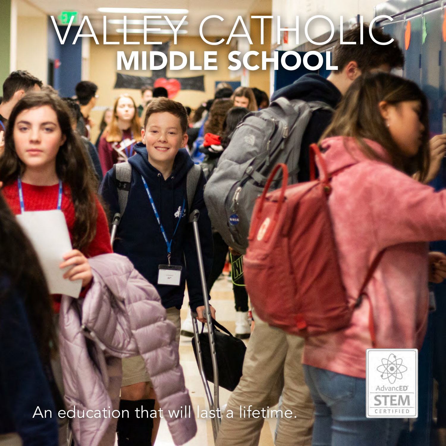# VALLEY CATHOLIC MIDDLE SCHOOL

AdvancED ΈM CERTIFIED

An education that will last a lifetime.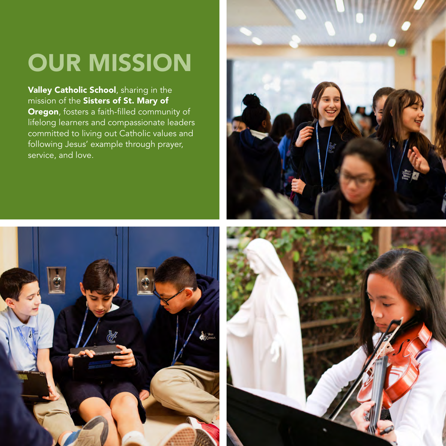## OUR MISSION

Valley Catholic School, sharing in the mission of the Sisters of St. Mary of Oregon, fosters a faith-filled community of lifelong learners and compassionate leaders committed to living out Catholic values and following Jesus' example through prayer, service, and love.





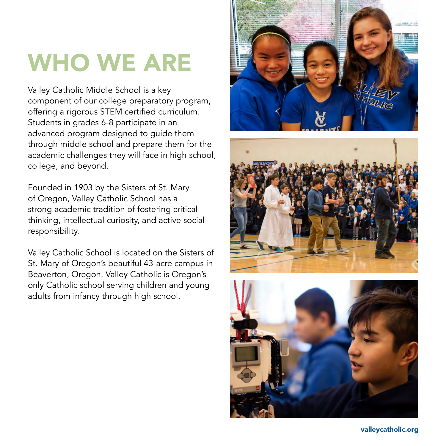## WHO WE ARE

Valley Catholic Middle School is a key component of our college preparatory program, offering a rigorous STEM certified curriculum. Students in grades 6-8 participate in an advanced program designed to guide them through middle school and prepare them for the academic challenges they will face in high school, college, and beyond.

Founded in 1903 by the Sisters of St. Mary of Oregon, Valley Catholic School has a strong academic tradition of fostering critical thinking, intellectual curiosity, and active social responsibility.

Valley Catholic School is located on the Sisters of St. Mary of Oregon's beautiful 43-acre campus in Beaverton, Oregon. Valley Catholic is Oregon's only Catholic school serving children and young adults from infancy through high school.







valleycatholic.org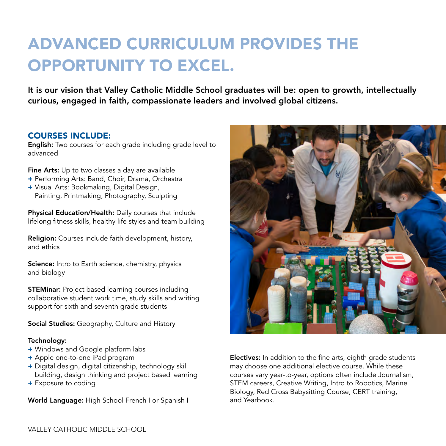### ADVANCED CURRICULUM PROVIDES THE OPPORTUNITY TO EXCEL.

It is our vision that Valley Catholic Middle School graduates will be: open to growth, intellectually curious, engaged in faith, compassionate leaders and involved global citizens.

#### COURSES INCLUDE:

English: Two courses for each grade including grade level to advanced

Fine Arts: Up to two classes a day are available

- + Performing Arts: Band, Choir, Drama, Orchestra
- + Visual Arts: Bookmaking, Digital Design, Painting, Printmaking, Photography, Sculpting

Physical Education/Health: Daily courses that include lifelong fitness skills, healthy life styles and team building

Religion: Courses include faith development, history, and ethics

Science: Intro to Earth science, chemistry, physics and biology

**STEMinar:** Project based learning courses including collaborative student work time, study skills and writing support for sixth and seventh grade students

Social Studies: Geography, Culture and History

#### Technology:

- + Windows and Google platform labs
- + Apple one-to-one iPad program
- + Digital design, digital citizenship, technology skill building, design thinking and project based learning
- + Exposure to coding

World Language: High School French I or Spanish I



Electives: In addition to the fine arts, eighth grade students may choose one additional elective course. While these courses vary year-to-year, options often include Journalism, STEM careers, Creative Writing, Intro to Robotics, Marine Biology, Red Cross Babysitting Course, CERT training, and Yearbook.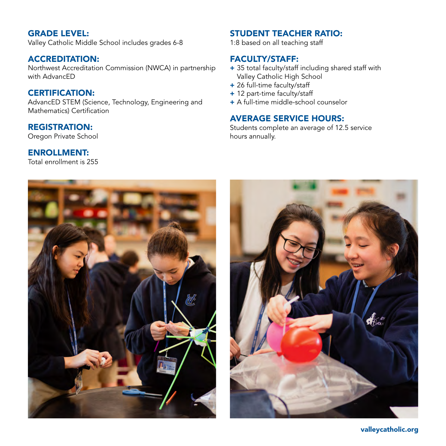#### GRADE LEVEL:

Valley Catholic Middle School includes grades 6-8

#### ACCREDITATION:

Northwest Accreditation Commission (NWCA) in partnership with AdvancED

#### CERTIFICATION:

AdvancED STEM (Science, Technology, Engineering and Mathematics) Certification

#### REGISTRATION:

Oregon Private School

#### ENROLLMENT:

Total enrollment is 255

#### STUDENT TEACHER RATIO:

1:8 based on all teaching staff

#### FACULTY/STAFF:

- + 35 total faculty/staff including shared staff with Valley Catholic High School
- + 26 full-time faculty/staff
- + 12 part-time faculty/staff
- + A full-time middle-school counselor

#### AVERAGE SERVICE HOURS:

Students complete an average of 12.5 service hours annually.





valleycatholic.org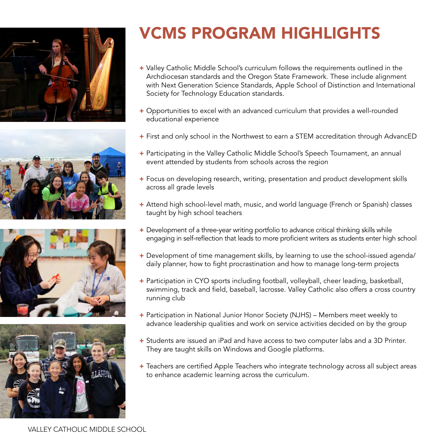







### VCMS PROGRAM HIGHLIGHTS

- + Valley Catholic Middle School's curriculum follows the requirements outlined in the Archdiocesan standards and the Oregon State Framework. These include alignment with Next Generation Science Standards, Apple School of Distinction and International Society for Technology Education standards.
- + Opportunities to excel with an advanced curriculum that provides a well-rounded educational experience
- + First and only school in the Northwest to earn a STEM accreditation through AdvancED
- + Participating in the Valley Catholic Middle School's Speech Tournament, an annual event attended by students from schools across the region
- + Focus on developing research, writing, presentation and product development skills across all grade levels
- + Attend high school-level math, music, and world language (French or Spanish) classes taught by high school teachers
- + Development of a three-year writing portfolio to advance critical thinking skills while engaging in self-reflection that leads to more proficient writers as students enter high school
- + Development of time management skills, by learning to use the school-issued agenda/ daily planner, how to fight procrastination and how to manage long-term projects
- + Participation in CYO sports including football, volleyball, cheer leading, basketball, swimming, track and field, baseball, lacrosse. Valley Catholic also offers a cross country running club
- + Participation in National Junior Honor Society (NJHS) Members meet weekly to advance leadership qualities and work on service activities decided on by the group
- + Students are issued an iPad and have access to two computer labs and a 3D Printer. They are taught skills on Windows and Google platforms.
- + Teachers are certified Apple Teachers who integrate technology across all subject areas to enhance academic learning across the curriculum.

VALLEY CATHOLIC MIDDLE SCHOOL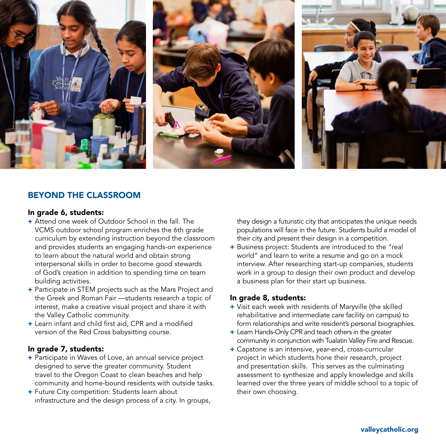

#### BEYOND THE CLASSROOM

#### In grade 6, students:

- + Attend one week of Outdoor School in the fall. The VCMS outdoor school program enriches the 6th grade curriculum by extending instruction beyond the classroom and provides students an engaging hands-on experience to learn about the natural world and obtain strong interpersonal skills in order to become good stewards of God's creation in addition to spending time on team building activities.
- + Participate in STEM projects such as the Mars Project and the Greek and Roman Fair —students research a topic of interest, make a creative visual project and share it with the Valley Catholic community.
- + Learn infant and child first aid, CPR and a modified version of the Red Cross babysitting course.

#### In grade 7, students:

- + Participate in Waves of Love, an annual service project designed to serve the greater community. Student travel to the Oregon Coast to clean beaches and help community and home-bound residents with outside tasks.
- + Future City competition: Students learn about infrastructure and the design process of a city. In groups,

they design a futuristic city that anticipates the unique needs populations will face in the future. Students build a model of their city and present their design in a competition.

+ Business project: Students are introduced to the "real world" and learn to write a resume and go on a mock interview. After researching start-up companies, students work in a group to design their own product and develop a business plan for their start up business.

#### In grade 8, students:

- + Visit each week with residents of Maryville (the skilled rehabilitative and intermediate care facility on campus) to form relationships and write resident's personal biographies.
- + Learn Hands-Only CPR and teach others in the greater community in conjunction with Tualatin Valley Fire and Rescue.
- + Capstone is an intensive, year-end, cross-curricular project in which students hone their research, project and presentation skills. This serves as the culminating assessment to synthesize and apply knowledge and skills learned over the three years of middle school to a topic of their own choosing.